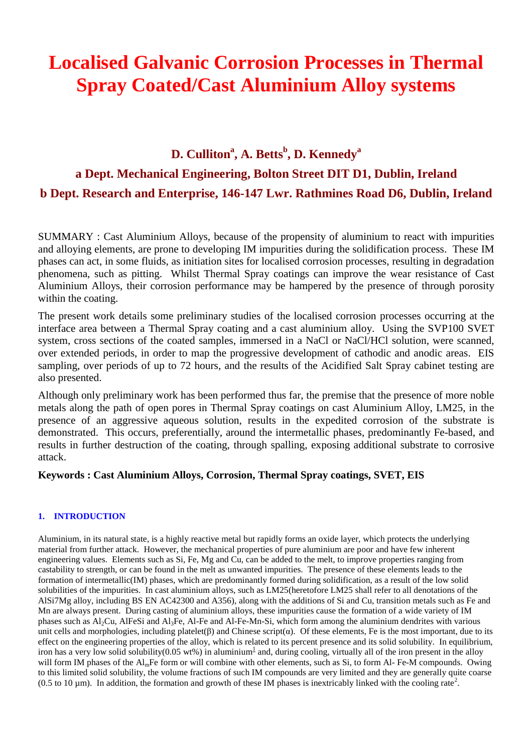# **Localised Galvanic Corrosion Processes in Thermal Spray Coated/Cast Aluminium Alloy systems**

## **D. Culliton<sup>a</sup> , A. Betts<sup>b</sup> , D. Kennedy<sup>a</sup> a Dept. Mechanical Engineering, Bolton Street DIT D1, Dublin, Ireland b Dept. Research and Enterprise, 146-147 Lwr. Rathmines Road D6, Dublin, Ireland**

SUMMARY : Cast Aluminium Alloys, because of the propensity of aluminium to react with impurities and alloying elements, are prone to developing IM impurities during the solidification process. These IM phases can act, in some fluids, as initiation sites for localised corrosion processes, resulting in degradation phenomena, such as pitting. Whilst Thermal Spray coatings can improve the wear resistance of Cast Aluminium Alloys, their corrosion performance may be hampered by the presence of through porosity within the coating.

The present work details some preliminary studies of the localised corrosion processes occurring at the interface area between a Thermal Spray coating and a cast aluminium alloy. Using the SVP100 SVET system, cross sections of the coated samples, immersed in a NaCl or NaCl/HCl solution, were scanned, over extended periods, in order to map the progressive development of cathodic and anodic areas. EIS sampling, over periods of up to 72 hours, and the results of the Acidified Salt Spray cabinet testing are also presented.

Although only preliminary work has been performed thus far, the premise that the presence of more noble metals along the path of open pores in Thermal Spray coatings on cast Aluminium Alloy, LM25, in the presence of an aggressive aqueous solution, results in the expedited corrosion of the substrate is demonstrated. This occurs, preferentially, around the intermetallic phases, predominantly Fe-based, and results in further destruction of the coating, through spalling, exposing additional substrate to corrosive attack.

## **Keywords : Cast Aluminium Alloys, Corrosion, Thermal Spray coatings, SVET, EIS**

## **1. INTRODUCTION**

Aluminium, in its natural state, is a highly reactive metal but rapidly forms an oxide layer, which protects the underlying material from further attack. However, the mechanical properties of pure aluminium are poor and have few inherent engineering values. Elements such as Si, Fe, Mg and Cu, can be added to the melt, to improve properties ranging from castability to strength, or can be found in the melt as unwanted impurities. The presence of these elements leads to the formation of intermetallic(IM) phases, which are predominantly formed during solidification, as a result of the low solid solubilities of the impurities. In cast aluminium alloys, such as LM25(heretofore LM25 shall refer to all denotations of the AlSi7Mg alloy, including BS EN AC42300 and A356), along with the additions of Si and Cu, transition metals such as Fe and Mn are always present. During casting of aluminium alloys, these impurities cause the formation of a wide variety of IM phases such as Al2Cu, AlFeSi and Al3Fe, Al-Fe and Al-Fe-Mn-Si, which form among the aluminium dendrites with various unit cells and morphologies, including platelet( $\beta$ ) and Chinese script( $\alpha$ ). Of these elements, Fe is the most important, due to its effect on the engineering properties of the alloy, which is related to its percent presence and its solid solubility. In equilibrium, iron has a very low solid solubility(0.05 wt%) in aluminium<sup>1</sup> and, during cooling, virtually all of the iron present in the alloy will form IM phases of the Al<sub>m</sub>Fe form or will combine with other elements, such as Si, to form Al-Fe-M compounds. Owing to this limited solid solubility, the volume fractions of such IM compounds are very limited and they are generally quite coarse  $(0.5 \text{ to } 10 \text{ µm})$ . In addition, the formation and growth of these IM phases is inextricably linked with the cooling rate<sup>2</sup>.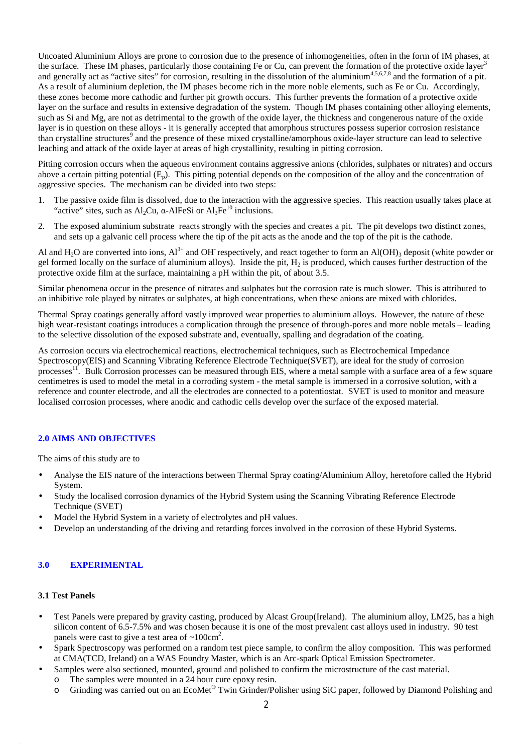Uncoated Aluminium Alloys are prone to corrosion due to the presence of inhomogeneities, often in the form of IM phases, at the surface. These IM phases, particularly those containing Fe or Cu, can prevent the formation of the protective oxide layer<sup>3</sup> and generally act as "active sites" for corrosion, resulting in the dissolution of the aluminium<sup>4,5,6,7,8</sup> and the formation of a pit. As a result of aluminium depletion, the IM phases become rich in the more noble elements, such as Fe or Cu. Accordingly, these zones become more cathodic and further pit growth occurs. This further prevents the formation of a protective oxide layer on the surface and results in extensive degradation of the system. Though IM phases containing other alloying elements, such as Si and Mg, are not as detrimental to the growth of the oxide layer, the thickness and congenerous nature of the oxide layer is in question on these alloys - it is generally accepted that amorphous structures possess superior corrosion resistance than crystalline structures<sup>9</sup> and the presence of these mixed crystalline/amorphous oxide-layer structure can lead to selective leaching and attack of the oxide layer at areas of high crystallinity, resulting in pitting corrosion.

Pitting corrosion occurs when the aqueous environment contains aggressive anions (chlorides, sulphates or nitrates) and occurs above a certain pitting potential  $(E_p)$ . This pitting potential depends on the composition of the alloy and the concentration of aggressive species. The mechanism can be divided into two steps:

- 1. The passive oxide film is dissolved, due to the interaction with the aggressive species. This reaction usually takes place at "active" sites, such as Al<sub>2</sub>Cu,  $\alpha$ -AlFeSi or Al<sub>3</sub>Fe<sup>10</sup> inclusions.
- 2. The exposed aluminium substrate reacts strongly with the species and creates a pit. The pit develops two distinct zones, and sets up a galvanic cell process where the tip of the pit acts as the anode and the top of the pit is the cathode.

Al and  $H_2O$  are converted into ions,  $Al^{3+}$  and OH respectively, and react together to form an  $Al(OH)_3$  deposit (white powder or gel formed locally on the surface of aluminium alloys). Inside the pit, H<sub>2</sub> is produced, which causes further destruction of the protective oxide film at the surface, maintaining a pH within the pit, of about 3.5.

Similar phenomena occur in the presence of nitrates and sulphates but the corrosion rate is much slower. This is attributed to an inhibitive role played by nitrates or sulphates, at high concentrations, when these anions are mixed with chlorides.

Thermal Spray coatings generally afford vastly improved wear properties to aluminium alloys. However, the nature of these high wear-resistant coatings introduces a complication through the presence of through-pores and more noble metals – leading to the selective dissolution of the exposed substrate and, eventually, spalling and degradation of the coating.

As corrosion occurs via electrochemical reactions, electrochemical techniques, such as Electrochemical Impedance Spectroscopy(EIS) and Scanning Vibrating Reference Electrode Technique(SVET), are ideal for the study of corrosion processes<sup>11</sup>. Bulk Corrosion processes can be measured through EIS, where a metal sample with a surface area of a few square centimetres is used to model the metal in a corroding system - the metal sample is immersed in a corrosive solution, with a reference and counter electrode, and all the electrodes are connected to a potentiostat. SVET is used to monitor and measure localised corrosion processes, where anodic and cathodic cells develop over the surface of the exposed material.

## **2.0 AIMS AND OBJECTIVES**

The aims of this study are to

- Analyse the EIS nature of the interactions between Thermal Spray coating/Aluminium Alloy, heretofore called the Hybrid System.
- Study the localìsed corrosion dynamics of the Hybrid System using the Scanning Vibrating Reference Electrode Technique (SVET)
- Model the Hybrid System in a variety of electrolytes and pH values.
- Develop an understanding of the driving and retarding forces involved in the corrosion of these Hybrid Systems.

## **3.0 EXPERIMENTAL**

## **3.1 Test Panels**

- Test Panels were prepared by gravity casting, produced by Alcast Group(Ireland). The aluminium alloy, LM25, has a high silicon content of 6.5-7.5% and was chosen because it is one of the most prevalent cast alloys used in industry. 90 test panels were cast to give a test area of  $\sim 100 \text{cm}^2$ .
- Spark Spectroscopy was performed on a random test piece sample, to confirm the alloy composition. This was performed at CMA(TCD, Ireland) on a WAS Foundry Master, which is an Arc-spark Optical Emission Spectrometer.
- Samples were also sectioned, mounted, ground and polished to confirm the microstructure of the cast material.
	- o The samples were mounted in a 24 hour cure epoxy resin.
	- o Grinding was carried out on an EcoMet® Twin Grinder/Polisher using SiC paper, followed by Diamond Polishing and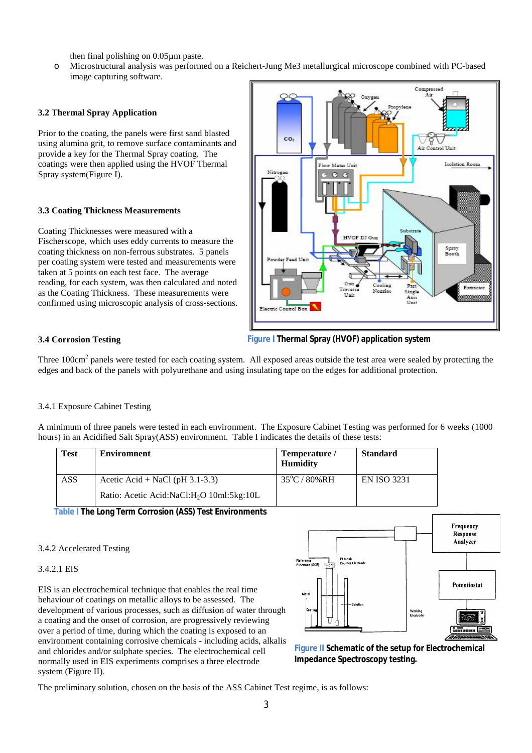then final polishing on 0.05µm paste.

o Microstructural analysis was performed on a Reichert-Jung Me3 metallurgical microscope combined with PC-based image capturing software.

## **3.2 Thermal Spray Application**

Prior to the coating, the panels were first sand blasted using alumina grit, to remove surface contaminants and provide a key for the Thermal Spray coating. The coatings were then applied using the HVOF Thermal Spray system(Figure I).

## **3.3 Coating Thickness Measurements**

Coating Thicknesses were measured with a Fischerscope, which uses eddy currents to measure the coating thickness on non-ferrous substrates*.* 5 panels per coating system were tested and measurements were taken at 5 points on each test face. The average reading, for each system, was then calculated and noted as the Coating Thickness. These measurements were confirmed using microscopic analysis of cross-sections.



## **3.4 Corrosion Testing**

**Figure I Thermal Spray (HVOF) application system**

Three 100cm<sup>2</sup> panels were tested for each coating system. All exposed areas outside the test area were sealed by protecting the edges and back of the panels with polyurethane and using insulating tape on the edges for additional protection.

#### 3.4.1 Exposure Cabinet Testing

A minimum of three panels were tested in each environment. The Exposure Cabinet Testing was performed for 6 weeks (1000 hours) in an Acidified Salt Spray(ASS) environment. Table I indicates the details of these tests:

| Test       | <b>Enviromnent</b>                                    | Temperature /<br>Humidity | <b>Standard</b> |
|------------|-------------------------------------------------------|---------------------------|-----------------|
| <b>ASS</b> | Acetic Acid + NaCl (pH $3.1-3.3$ )                    | $35^{\circ}$ C / 80%RH    | EN ISO 3231     |
|            | Ratio: Acetic Acid:NaCl:H <sub>2</sub> O 10ml:5kg:10L |                           |                 |

**Table I The Long Term Corrosion (ASS) Test Environments**

#### 3.4.2 Accelerated Testing

#### 3.4.2.1 EIS

EIS is an electrochemical technique that enables the real time behaviour of coatings on metallic alloys to be assessed. The development of various processes, such as diffusion of water through a coating and the onset of corrosion, are progressively reviewing over a period of time, during which the coating is exposed to an environment containing corrosive chemicals - including acids, alkalis and chlorides and/or sulphate species. The electrochemical cell normally used in EIS experiments comprises a three electrode system (Figure II).



**Figure II Schematic of the setup for Electrochemical Impedance Spectroscopy testing.**

The preliminary solution, chosen on the basis of the ASS Cabinet Test regime, is as follows: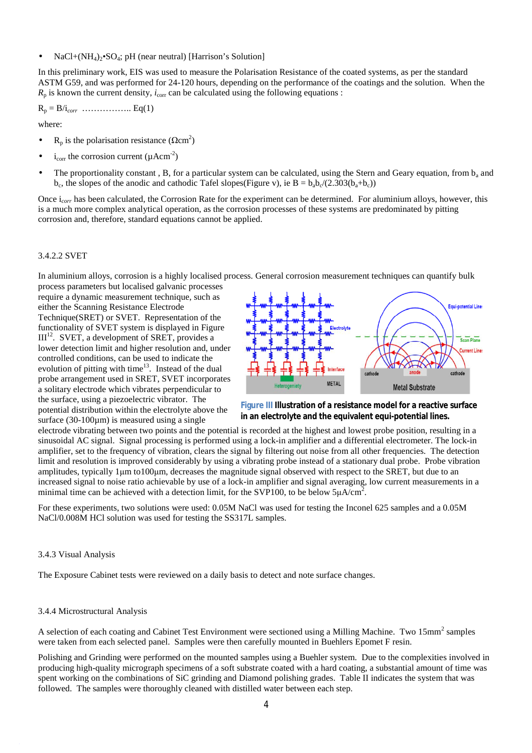• NaCl+ $(NH_4)_2$ • $SO_4$ ; pH (near neutral) [Harrison's Solution]

In this preliminary work, EIS was used to measure the Polarisation Resistance of the coated systems, as per the standard ASTM G59, and was performed for 24-120 hours, depending on the performance of the coatings and the solution. When the  $R_p$  is known the current density,  $i_{\text{corr}}$  can be calculated using the following equations :

R<sup>p</sup> = B/i*corr* …………….. Eq(1)

where:

- R<sub>p</sub> is the polarisation resistance ( $\Omega$ cm<sup>2</sup>)
- i<sub>corr</sub> the corrosion current ( $\mu$ Acm<sup>-2</sup>)
- The proportionality constant, B, for a particular system can be calculated, using the Stern and Geary equation, from  $b<sub>a</sub>$  and  $b_c$ , the slopes of the anodic and cathodic Tafel slopes(Figure v), ie  $B = b_a b_c/(2.303(b_a + b_c))$

Once i*corr* has been calculated, the Corrosion Rate for the experiment can be determined. For aluminium alloys, however, this is a much more complex analytical operation, as the corrosion processes of these systems are predominated by pitting corrosion and, therefore, standard equations cannot be applied.

## 3.4.2.2 SVET

In aluminium alloys, corrosion is a highly localised process. General corrosion measurement techniques can quantify bulk

process parameters but localised galvanic processes require a dynamic measurement technique, such as either the Scanning Resistance Electrode Technique(SRET) or SVET. Representation of the functionality of SVET system is displayed in Figure  $III<sup>12</sup>$ . SVET, a development of SRET, provides a lower detection limit and higher resolution and, under controlled conditions, can be used to indicate the evolution of pitting with time<sup>13</sup>. Instead of the dual probe arrangement used in SRET, SVET incorporates a solitary electrode which vibrates perpendicular to the surface, using a piezoelectric vibrator. The potential distribution within the electrolyte above the surface  $(30-100\mu m)$  is measured using a single





electrode vibrating between two points and the potential is recorded at the highest and lowest probe position, resulting in a sinusoidal AC signal. Signal processing is performed using a lock-in amplifier and a differential electrometer. The lock-in amplifier, set to the frequency of vibration, clears the signal by filtering out noise from all other frequencies. The detection limit and resolution is improved considerably by using a vibrating probe instead of a stationary dual probe. Probe vibration amplitudes, typically 1μm to100μm, decreases the magnitude signal observed with respect to the SRET, but due to an increased signal to noise ratio achievable by use of a lock-in amplifier and signal averaging, low current measurements in a minimal time can be achieved with a detection limit, for the SVP100, to be below  $5\mu A/cm^2$ .

For these experiments, two solutions were used: 0.05M NaCl was used for testing the Inconel 625 samples and a 0.05M NaCl/0.008M HCl solution was used for testing the SS317L samples.

#### 3.4.3 Visual Analysis

The Exposure Cabinet tests were reviewed on a daily basis to detect and note surface changes.

## 3.4.4 Microstructural Analysis

A selection of each coating and Cabinet Test Environment were sectioned using a Milling Machine. Two 15mm<sup>2</sup> samples were taken from each selected panel. Samples were then carefully mounted in Buehlers Epomet F resin.

Polishing and Grinding were performed on the mounted samples using a Buehler system. Due to the complexities involved in producing high-quality micrograph specimens of a soft substrate coated with a hard coating, a substantial amount of time was spent working on the combinations of SiC grinding and Diamond polishing grades. Table II indicates the system that was followed. The samples were thoroughly cleaned with distilled water between each step.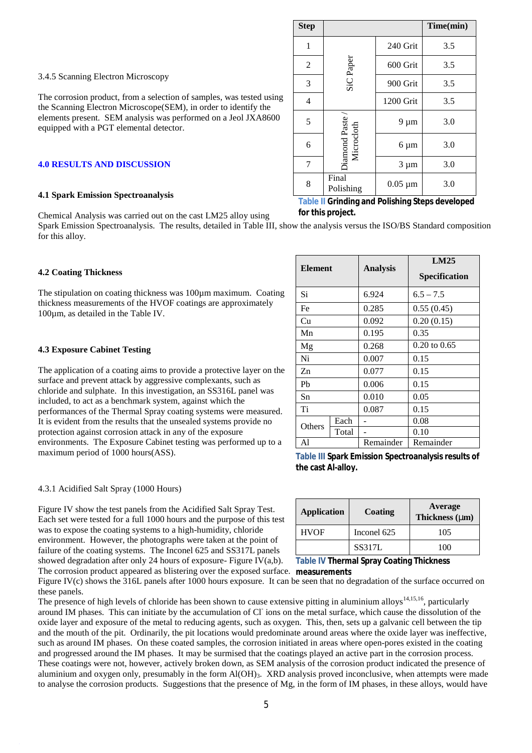The corrosion product, from a selection of samples, was tested using the Scanning Electron Microscope(SEM), in order to identify the elements present. SEM analysis was performed on a Jeol JXA8600 equipped with a PGT elemental detector.

#### **4.0 RESULTS AND DISCUSSION**

#### **4.1 Spark Emission Spectroanalysis**

Chemical Analysis was carried out on the cast LM25 alloy using

Spark Emission Spectroanalysis. The results, detailed in Table III, show the analysis versus the ISO/BS Standard composition for this alloy.

#### **4.2 Coating Thickness**

The stipulation on coating thickness was 100µm maximum. Coating thickness measurements of the HVOF coatings are approximately 100µm, as detailed in the Table IV.

## **4.3 Exposure Cabinet Testing**

The application of a coating aims to provide a protective layer on the surface and prevent attack by aggressive complexants, such as chloride and sulphate. In this investigation, an SS316L panel was included, to act as a benchmark system, against which the performances of the Thermal Spray coating systems were measured. It is evident from the results that the unsealed systems provide no protection against corrosion attack in any of the exposure environments. The Exposure Cabinet testing was performed up to a maximum period of 1000 hours(ASS).

## 4.3.1 Acidified Salt Spray (1000 Hours)

Figure IV show the test panels from the Acidified Salt Spray Test. Each set were tested for a full 1000 hours and the purpose of this test was to expose the coating systems to a high-humidity, chloride environment. However, the photographs were taken at the point of failure of the coating systems. The Inconel 625 and SS317L panels showed degradation after only 24 hours of exposure- Figure IV(a,b).

The corrosion product appeared as blistering over the exposed surface. measurements Figure IV(c) shows the 316L panels after 1000 hours exposure. It can be seen that no degradation of the surface occurred on these panels.

The presence of high levels of chloride has been shown to cause extensive pitting in aluminium alloys<sup>14,15,16</sup>, particularly around IM phases. This can initiate by the accumulation of Cl ions on the metal surface, which cause the dissolution of the oxide layer and exposure of the metal to reducing agents, such as oxygen. This, then, sets up a galvanic cell between the tip and the mouth of the pit. Ordinarily, the pit locations would predominate around areas where the oxide layer was ineffective, such as around IM phases. On these coated samples, the corrosion initiated in areas where open-pores existed in the coating and progressed around the IM phases. It may be surmised that the coatings played an active part in the corrosion process. These coatings were not, however, actively broken down, as SEM analysis of the corrosion product indicated the presence of aluminium and oxygen only, presumably in the form  $Al(OH)_{3}$ . XRD analysis proved inconclusive, when attempts were made to analyse the corrosion products. Suggestions that the presence of Mg, in the form of IM phases, in these alloys, would have

| <b>Step</b> |                               |              | Time(min) |
|-------------|-------------------------------|--------------|-----------|
| 1           |                               | 240 Grit     | 3.5       |
| 2           | SiC Paper                     | 600 Grit     | 3.5       |
| 3           |                               | 900 Grit     | 3.5       |
| 4           |                               | 1200 Grit    | 3.5       |
| 5           |                               | $9 \mu m$    | 3.0       |
| 6           | Diamond Paste /<br>Microcloth | $6 \mu m$    | 3.0       |
| 7           |                               | $3 \mu m$    | 3.0       |
| 8           | Final<br>Polishing            | $0.05 \mu m$ | 3.0       |

## **Table II Grinding and Polishing Steps developed for this project.**

| <b>Element</b> |       | <b>Analysis</b> | LM25<br><b>Specification</b> |  |
|----------------|-------|-----------------|------------------------------|--|
| Si             |       | 6.924           | $6.5 - 7.5$                  |  |
| Fe             |       | 0.285           | 0.55(0.45)                   |  |
| Cu             |       | 0.092           | 0.20(0.15)                   |  |
| Mn             |       | 0.195           | 0.35                         |  |
| Mg             |       | 0.268           | $0.20 \text{ to } 0.65$      |  |
| Ni             |       | 0.007           | 0.15                         |  |
| Zn             |       | 0.077           | 0.15                         |  |
| Pb             |       | 0.006           | 0.15                         |  |
| Sn             |       | 0.010           | 0.05                         |  |
| Ti             |       | 0.087           | 0.15                         |  |
| <b>Others</b>  | Each  |                 | 0.08                         |  |
|                | Total |                 | 0.10                         |  |
| A1             |       | Remainder       | Remainder                    |  |

**Table III Spark Emission Spectroanalysis results of the cast Al-alloy.**

| <b>Application</b> | Coating       | Average<br>Thickness (mm) |  |
|--------------------|---------------|---------------------------|--|
| <b>HVOF</b>        | Inconel 625   | 105                       |  |
|                    | <b>SS317L</b> | 100                       |  |

**Table IV Thermal Spray Coating Thickness**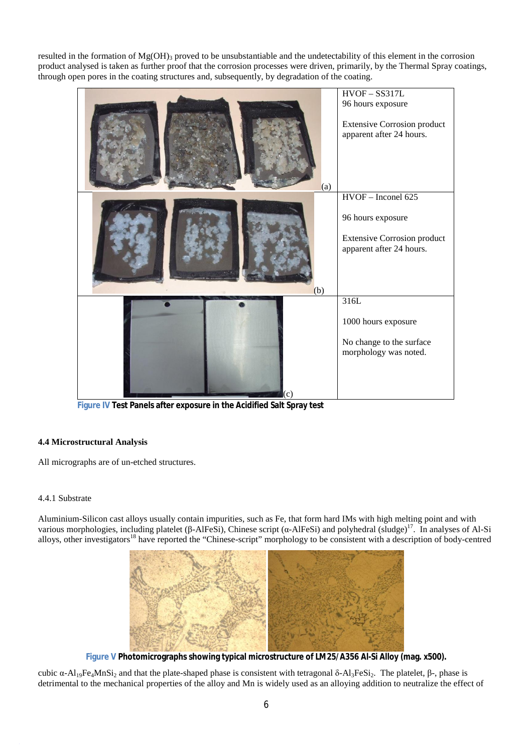resulted in the formation of  $Mg(OH)_{3}$  proved to be unsubstantiable and the undetectability of this element in the corrosion product analysed is taken as further proof that the corrosion processes were driven, primarily, by the Thermal Spray coatings, through open pores in the coating structures and, subsequently, by degradation of the coating.



**Figure IV Test Panels after exposure in the Acidified Salt Spray test**

## **4.4 Microstructural Analysis**

All micrographs are of un-etched structures.

## 4.4.1 Substrate

Aluminium-Silicon cast alloys usually contain impurities, such as Fe, that form hard IMs with high melting point and with various morphologies, including platelet (β-AlFeSi), Chinese script (α-AlFeSi) and polyhedral (sludge)<sup>17</sup>. In analyses of Al-Si alloys, other investigators<sup>18</sup> have reported the "Chinese-script" morphology to be consistent with a description of body-centred



**Figure V Photomicrographs showing typical microstructure of LM25/A356 Al-Si Alloy (mag. x500).**

cubic  $\alpha$ -Al<sub>19</sub>Fe<sub>4</sub>MnSi<sub>2</sub> and that the plate-shaped phase is consistent with tetragonal δ-Al<sub>3</sub>FeSi<sub>2</sub>. The platelet, β-, phase is detrimental to the mechanical properties of the alloy and Mn is widely used as an alloying addition to neutralize the effect of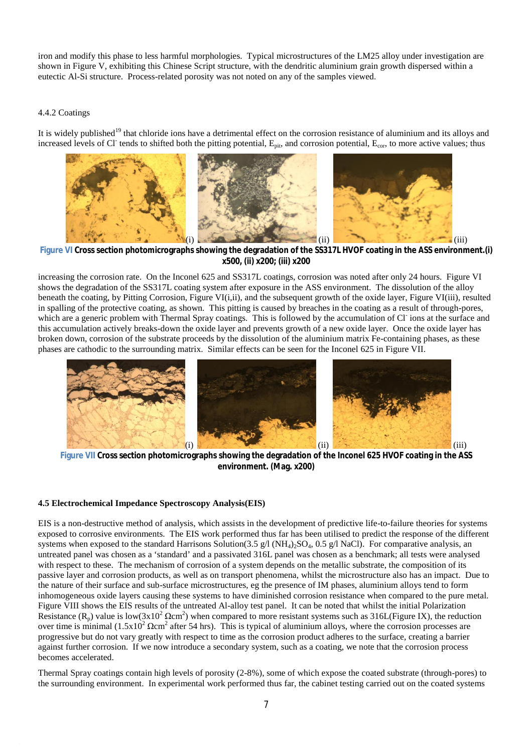iron and modify this phase to less harmful morphologies. Typical microstructures of the LM25 alloy under investigation are shown in Figure V, exhibiting this Chinese Script structure, with the dendritic aluminium grain growth dispersed within a eutectic Al-Si structure. Process-related porosity was not noted on any of the samples viewed.

## 4.4.2 Coatings

It is widely published<sup>19</sup> that chloride ions have a detrimental effect on the corrosion resistance of aluminium and its alloys and increased levels of Cl<sup>-</sup> tends to shifted both the pitting potential,  $E_{pit}$ , and corrosion potential,  $E_{cor}$ , to more active values; thus



**Figure VI Cross section photomicrographs showing the degradation of the SS317L HVOF coating in the ASS environment.(i) x500, (ii) x200; (iii) x200**

increasing the corrosion rate. On the Inconel 625 and SS317L coatings, corrosion was noted after only 24 hours. Figure VI shows the degradation of the SS317L coating system after exposure in the ASS environment. The dissolution of the alloy beneath the coating, by Pitting Corrosion, Figure VI(i,ii), and the subsequent growth of the oxide layer, Figure VI(iii), resulted in spalling of the protective coating, as shown. This pitting is caused by breaches in the coating as a result of through-pores, which are a generic problem with Thermal Spray coatings. This is followed by the accumulation of Cl ions at the surface and this accumulation actively breaks-down the oxide layer and prevents growth of a new oxide layer. Once the oxide layer has broken down, corrosion of the substrate proceeds by the dissolution of the aluminium matrix Fe-containing phases, as these phases are cathodic to the surrounding matrix. Similar effects can be seen for the Inconel 625 in Figure VII.



**Figure VII Cross section photomicrographs showing the degradation of the Inconel 625 HVOF coating in the ASS environment. (Mag. x200)**

#### **4.5 Electrochemical Impedance Spectroscopy Analysis(EIS)**

EIS is a non-destructive method of analysis, which assists in the development of predictive life-to-failure theories for systems exposed to corrosive environments. The EIS work performed thus far has been utilised to predict the response of the different systems when exposed to the standard Harrisons Solution(3.5 g/l (NH<sub>4</sub>)<sub>2</sub>SO<sub>4</sub>, 0.5 g/l NaCl). For comparative analysis, an untreated panel was chosen as a 'standard' and a passivated 316L panel was chosen as a benchmark; all tests were analysed with respect to these. The mechanism of corrosion of a system depends on the metallic substrate, the composition of its passive layer and corrosion products, as well as on transport phenomena, whilst the microstructure also has an impact. Due to the nature of their surface and sub-surface microstructures, eg the presence of IM phases, aluminium alloys tend to form inhomogeneous oxide layers causing these systems to have diminished corrosion resistance when compared to the pure metal. Figure VIII shows the EIS results of the untreated Al-alloy test panel. It can be noted that whilst the initial Polarization Resistance  $(R_p)$  value is low(3x10<sup>2</sup>  $\Omega$ cm<sup>2</sup>) when compared to more resistant systems such as 316L(Figure IX), the reduction over time is minimal  $(1.5x10^2 \Omega \text{cm}^2$  after 54 hrs). This is typical of aluminium alloys, where the corrosion processes are progressive but do not vary greatly with respect to time as the corrosion product adheres to the surface, creating a barrier against further corrosion. If we now introduce a secondary system, such as a coating, we note that the corrosion process becomes accelerated.

Thermal Spray coatings contain high levels of porosity (2-8%), some of which expose the coated substrate (through-pores) to the surrounding environment. In experimental work performed thus far, the cabinet testing carried out on the coated systems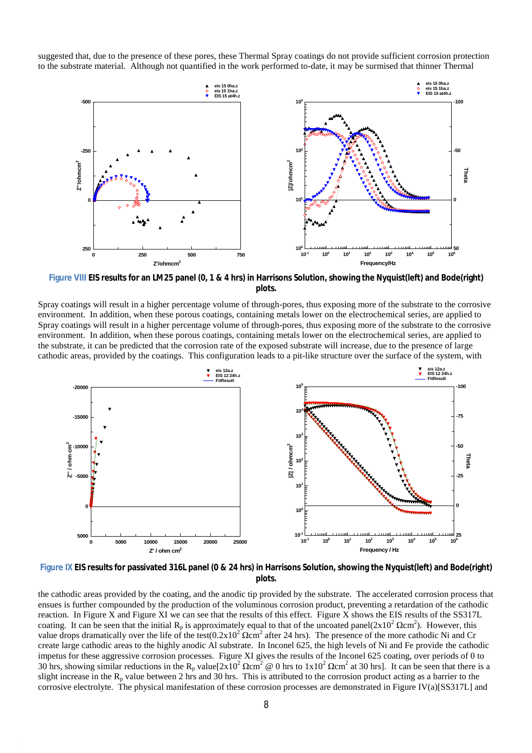suggested that, due to the presence of these pores, these Thermal Spray coatings do not provide sufficient corrosion protection to the substrate material. Although not quantified in the work performed to-date, it may be surmised that thinner Thermal



Figure VIII EIS results for an LM25 panel (0, 1 & 4 hrs) in Harrisons Solution, showing the Nyquist(left) and Bode(right) **plots.**

Spray coatings will result in a higher percentage volume of through-pores, thus exposing more of the substrate to the corrosive environment. In addition, when these porous coatings, containing metals lower on the electrochemical series, are applied to Spray coatings will result in a higher percentage volume of through-pores, thus exposing more of the substrate to the corrosive environment. In addition, when these porous coatings, containing metals lower on the electrochemical series, are applied to the substrate, it can be predicted that the corrosion rate of the exposed substrate will increase, due to the presence of large cathodic areas, provided by the coatings. This configuration leads to a pit-like structure over the surface of the system, with



Figure IX EIS results for passivated 316L panel (0 & 24 hrs) in Harrisons Solution, showing the Nyquist (left) and Bode (right) **plots.**

the cathodic areas provided by the coating, and the anodic tip provided by the substrate. The accelerated corrosion process that ensues is further compounded by the production of the voluminous corrosion product, preventing a retardation of the cathodic reaction. In Figure X and Figure XI we can see that the results of this effect. Figure X shows the EIS results of the SS317L coating. It can be seen that the initial  $R_p$  is approximately equal to that of the uncoated panel( $2x10^2 \Omega cm^2$ ). However, this value drops dramatically over the life of the test( $0.2x10^2 \Omega \text{cm}^2$  after 24 hrs). The presence of the more cathodic Ni and Cr create large cathodic areas to the highly anodic Al substrate. In Inconel 625, the high levels of Ni and Fe provide the cathodic impetus for these aggressive corrosion processes. Figure XI gives the results of the Inconel 625 coating, over periods of 0 to 30 hrs, showing similar reductions in the R<sub>p</sub> value $[2x10^2 \Omega cm^2 \otimes 0$  hrs to  $1x10^2 \Omega cm^2$  at 30 hrs]. It can be seen that there is a slight increase in the  $R_p$  value between 2 hrs and 30 hrs. This is attributed to the corrosion product acting as a barrier to the corrosive electrolyte. The physical manifestation of these corrosion processes are demonstrated in Figure IV(a)[SS317L] and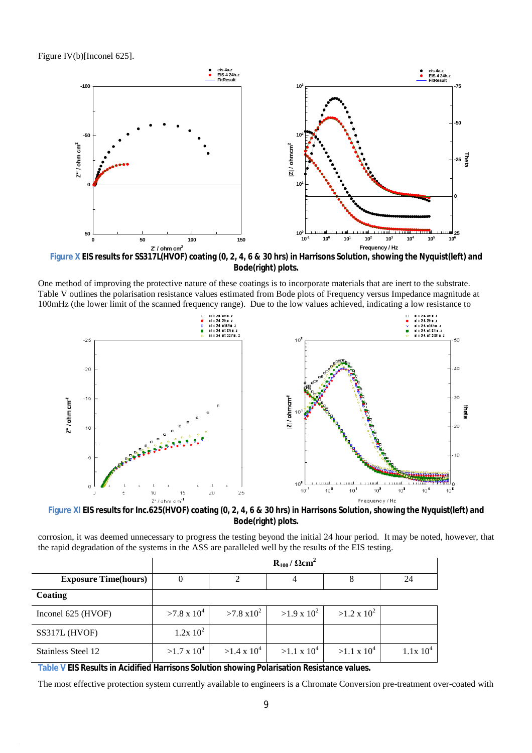Figure IV(b)[Inconel 625].



Figure X EIS results for SS317L(HVOF) coating (0, 2, 4, 6 & 30 hrs) in Harrisons Solution, showing the Nyquist(left) and **Bode(right) plots.**

One method of improving the protective nature of these coatings is to incorporate materials that are inert to the substrate. Table V outlines the polarisation resistance values estimated from Bode plots of Frequency versus Impedance magnitude at 100mHz (the lower limit of the scanned frequency range). Due to the low values achieved, indicating a low resistance to



Figure XI EIS results for Inc.625(HVOF) coating (0, 2, 4, 6 & 30 hrs) in Harrisons Solution, showing the Nyquist(left) and **Bode(right) plots.**

corrosion, it was deemed unnecessary to progress the testing beyond the initial 24 hour period. It may be noted, however, that the rapid degradation of the systems in the ASS are paralleled well by the results of the EIS testing.

|                             | $R_{100}$ / $\Omega$ cm <sup>2</sup> |                    |                    |                    |              |
|-----------------------------|--------------------------------------|--------------------|--------------------|--------------------|--------------|
| <b>Exposure Time(hours)</b> |                                      |                    |                    |                    | 24           |
| Coating                     |                                      |                    |                    |                    |              |
| Inconel 625 (HVOF)          | $>7.8 \times 10^4$                   | $>7.8 \times 10^2$ | $>1.9 \times 10^2$ | $>1.2 \times 10^2$ |              |
| SS317L (HVOF)               | $1.2x\;10^2$                         |                    |                    |                    |              |
| Stainless Steel 12          | $>1.7 \times 10^4$                   | $>1.4 \times 10^4$ | $>1.1 \times 10^4$ | $>1.1 \times 10^4$ | $1.1x\ 10^4$ |

**Table V EIS Results in Acidified Harrisons Solution showing Polarisation Resistance values.**

The most effective protection system currently available to engineers is a Chromate Conversion pre-treatment over-coated with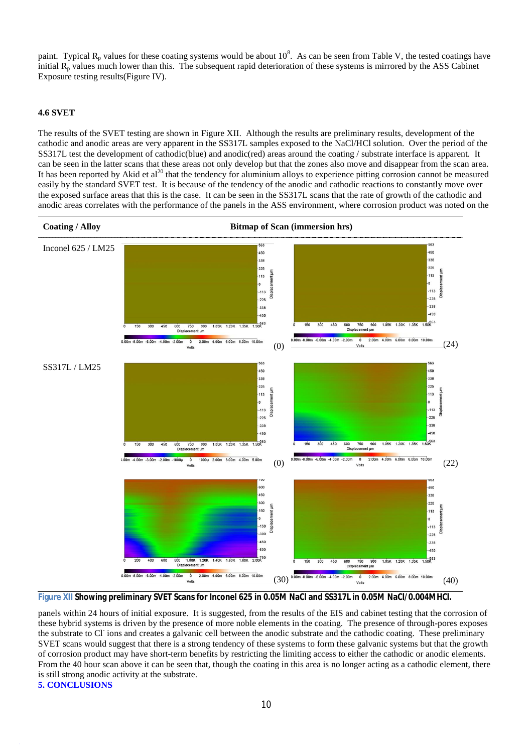paint. Typical  $R_p$  values for these coating systems would be about 10<sup>8</sup>. As can be seen from Table V, the tested coatings have initial  $R_p$  values much lower than this. The subsequent rapid deterioration of these systems is mirrored by the ASS Cabinet Exposure testing results(Figure IV).

## **4.6 SVET**

The results of the SVET testing are shown in Figure XII. Although the results are preliminary results, development of the cathodic and anodic areas are very apparent in the SS317L samples exposed to the NaCl/HCl solution. Over the period of the SS317L test the development of cathodic(blue) and anodic(red) areas around the coating / substrate interface is apparent. It can be seen in the latter scans that these areas not only develop but that the zones also move and disappear from the scan area. It has been reported by Akid et al<sup>20</sup> that the tendency for aluminium alloys to experience pitting corrosion cannot be measured easily by the standard SVET test. It is because of the tendency of the anodic and cathodic reactions to constantly move over the exposed surface areas that this is the case. It can be seen in the SS317L scans that the rate of growth of the cathodic and anodic areas correlates with the performance of the panels in the ASS environment, where corrosion product was noted on the



**Figure XII Showing preliminary SVET Scans for Inconel 625 in 0.05M NaCl and SS317L in 0.05M NaCl/0.004MHCl.**

panels within 24 hours of initial exposure. It is suggested, from the results of the EIS and cabinet testing that the corrosion of these hybrid systems is driven by the presence of more noble elements in the coating. The presence of through-pores exposes the substrate to Cl<sup>-</sup>ions and creates a galvanic cell between the anodic substrate and the cathodic coating. These preliminary SVET scans would suggest that there is a strong tendency of these systems to form these galvanic systems but that the growth of corrosion product may have short-term benefits by restricting the limiting access to either the cathodic or anodic elements. From the 40 hour scan above it can be seen that, though the coating in this area is no longer acting as a cathodic element, there is still strong anodic activity at the substrate.

**5. CONCLUSIONS**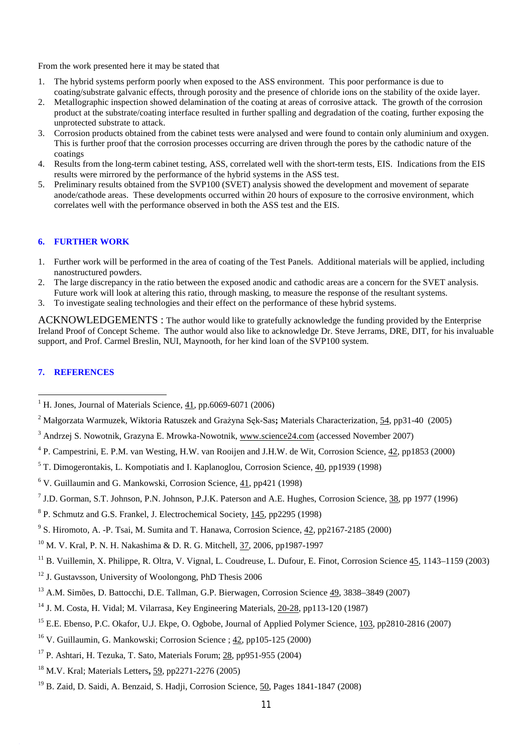From the work presented here it may be stated that

- 1. The hybrid systems perform poorly when exposed to the ASS environment. This poor performance is due to coating/substrate galvanic effects, through porosity and the presence of chloride ions on the stability of the oxide layer.
- 2. Metallographic inspection showed delamination of the coating at areas of corrosive attack. The growth of the corrosion product at the substrate/coating interface resulted in further spalling and degradation of the coating, further exposing the unprotected substrate to attack.
- 3. Corrosion products obtained from the cabinet tests were analysed and were found to contain only aluminium and oxygen. This is further proof that the corrosion processes occurring are driven through the pores by the cathodic nature of the coatings
- 4. Results from the long-term cabinet testing, ASS, correlated well with the short-term tests, EIS. Indications from the EIS results were mirrored by the performance of the hybrid systems in the ASS test.
- 5. Preliminary results obtained from the SVP100 (SVET) analysis showed the development and movement of separate anode/cathode areas. These developments occurred within 20 hours of exposure to the corrosive environment, which correlates well with the performance observed in both the ASS test and the EIS.

## **6. FURTHER WORK**

- 1. Further work will be performed in the area of coating of the Test Panels. Additional materials will be applied, including nanostructured powders.
- 2. The large discrepancy in the ratio between the exposed anodic and cathodic areas are a concern for the SVET analysis. Future work will look at altering this ratio, through masking, to measure the response of the resultant systems.
- 3. To investigate sealing technologies and their effect on the performance of these hybrid systems.

ACKNOWLEDGEMENTS : The author would like to gratefully acknowledge the funding provided by the Enterprise Ireland Proof of Concept Scheme. The author would also like to acknowledge Dr. Steve Jerrams, DRE, DIT, for his invaluable support, and Prof. Carmel Breslin, NUI, Maynooth, for her kind loan of the SVP100 system.

## **7. REFERENCES**

 $\overline{\phantom{a}}$ 

- <sup>5</sup> T. Dimogerontakis, L. Kompotiatis and I. Kaplanoglou, Corrosion Science, 40, pp1939 (1998)
- $6$  V. Guillaumin and G. Mankowski, Corrosion Science, 41, pp421 (1998)
- <sup>7</sup> J.D. Gorman, S.T. Johnson, P.N. Johnson, P.J.K. Paterson and A.E. Hughes, Corrosion Science, 38, pp 1977 (1996)
- <sup>8</sup> P. Schmutz and G.S. Frankel, J. Electrochemical Society, 145, pp2295 (1998)
- <sup>9</sup> S. Hiromoto, A. -P. Tsai, M. Sumita and T. Hanawa, Corrosion Science,  $42$ , pp2167-2185 (2000)
- <sup>10</sup> M. V. Kral, P. N. H. Nakashima & D. R. G. Mitchell, 37, 2006, pp1987-1997
- <sup>11</sup> B. Vuillemin, X. Philippe, R. Oltra, V. Vignal, L. Coudreuse, L. Dufour, E. Finot, Corrosion Science  $\frac{45}{1143}$ , 1143–1159 (2003)
- <sup>12</sup> J. Gustavsson, University of Woolongong, PhD Thesis 2006
- <sup>13</sup> A.M. Simões, D. Battocchi, D.E. Tallman, G.P. Bierwagen, Corrosion Science 49, 3838–3849 (2007)
- <sup>14</sup> J. M. Costa, H. Vidal; M. Vilarrasa, Key Engineering Materials, 20-28, pp113-120 (1987)
- <sup>15</sup> E.E. Ebenso, P.C. Okafor, U.J. Ekpe, O. Ogbobe, Journal of Applied Polymer Science, 103, pp2810-2816 (2007)
- <sup>16</sup> V. Guillaumin, G. Mankowski; Corrosion Science ; 42, pp105-125 (2000)
- <sup>17</sup> P. Ashtari, H. Tezuka, T. Sato, Materials Forum; 28, pp951-955 (2004)
- <sup>18</sup> M.V. Kral; Materials Letters**,** 59, pp2271-2276 (2005)
- <sup>19</sup> B. Zaid, D. Saidi, A. Benzaid, S. Hadii, Corrosion Science, 50, Pages 1841-1847 (2008)

<sup>&</sup>lt;sup>1</sup> H. Jones, Journal of Materials Science, 41, pp.6069-6071 (2006)

<sup>2</sup> Małgorzata Warmuzek, Wiktoria Ratuszek and Grażyna Sęk-Sas**;** Materials Characterization, 54, pp31-40 (2005)

<sup>&</sup>lt;sup>3</sup> Andrzej S. Nowotnik, Grazyna E. Mrowka-Nowotnik, [www.science24.com](http://www.science24.com) (accessed November 2007)

<sup>&</sup>lt;sup>4</sup> P. Campestrini, E. P.M. van Westing, H.W. van Rooijen and J.H.W. de Wit, Corrosion Science, 42, pp1853 (2000)